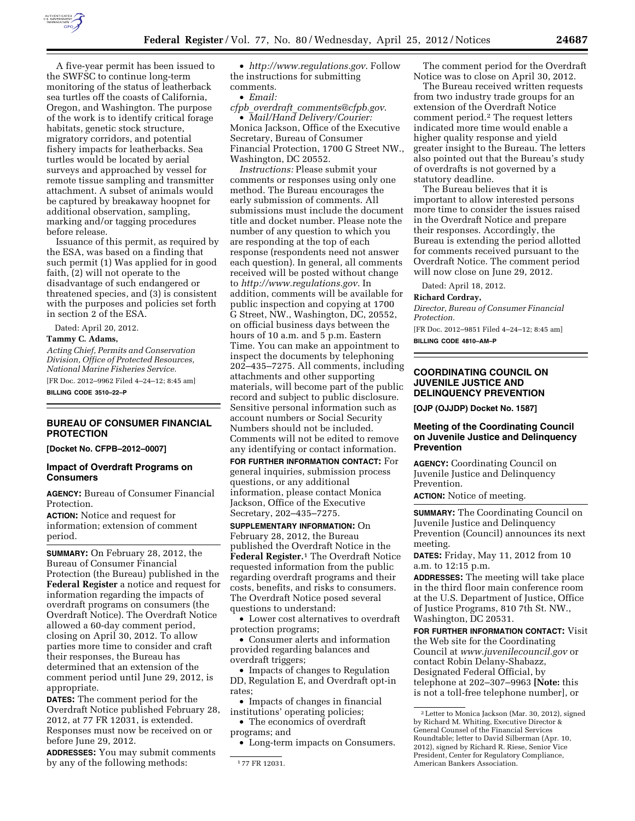

A five-year permit has been issued to the SWFSC to continue long-term monitoring of the status of leatherback sea turtles off the coasts of California, Oregon, and Washington. The purpose of the work is to identify critical forage habitats, genetic stock structure, migratory corridors, and potential fishery impacts for leatherbacks. Sea turtles would be located by aerial surveys and approached by vessel for remote tissue sampling and transmitter attachment. A subset of animals would be captured by breakaway hoopnet for additional observation, sampling, marking and/or tagging procedures before release.

Issuance of this permit, as required by the ESA, was based on a finding that such permit (1) Was applied for in good faith, (2) will not operate to the disadvantage of such endangered or threatened species, and (3) is consistent with the purposes and policies set forth in section 2 of the ESA.

Dated: April 20, 2012.

#### **Tammy C. Adams,**

*Acting Chief, Permits and Conservation Division, Office of Protected Resources, National Marine Fisheries Service.*  [FR Doc. 2012–9962 Filed 4–24–12; 8:45 am]

**BILLING CODE 3510–22–P** 

## **BUREAU OF CONSUMER FINANCIAL PROTECTION**

**[Docket No. CFPB–2012–0007]** 

## **Impact of Overdraft Programs on Consumers**

**AGENCY:** Bureau of Consumer Financial Protection.

**ACTION:** Notice and request for information; extension of comment period.

**SUMMARY:** On February 28, 2012, the Bureau of Consumer Financial Protection (the Bureau) published in the **Federal Register** a notice and request for information regarding the impacts of overdraft programs on consumers (the Overdraft Notice). The Overdraft Notice allowed a 60-day comment period, closing on April 30, 2012. To allow parties more time to consider and craft their responses, the Bureau has determined that an extension of the comment period until June 29, 2012, is appropriate.

**DATES:** The comment period for the Overdraft Notice published February 28, 2012, at 77 FR 12031, is extended. Responses must now be received on or before June 29, 2012.

**ADDRESSES:** You may submit comments by any of the following methods:

• *<http://www.regulations.gov>*. Follow the instructions for submitting comments.

• *Email:* 

*cfpb*\_*overdraft*\_*[comments@cfpb.gov](mailto:cfpb_overdraft_comments@cfpb.gov)*. • *Mail/Hand Delivery/Courier:* 

Monica Jackson, Office of the Executive Secretary, Bureau of Consumer Financial Protection, 1700 G Street NW., Washington, DC 20552.

*Instructions:* Please submit your comments or responses using only one method. The Bureau encourages the early submission of comments. All submissions must include the document title and docket number. Please note the number of any question to which you are responding at the top of each response (respondents need not answer each question). In general, all comments received will be posted without change to *<http://www.regulations.gov>*. In addition, comments will be available for public inspection and copying at 1700 G Street, NW., Washington, DC, 20552, on official business days between the hours of 10 a.m. and 5 p.m. Eastern Time. You can make an appointment to inspect the documents by telephoning 202–435–7275. All comments, including attachments and other supporting materials, will become part of the public record and subject to public disclosure. Sensitive personal information such as account numbers or Social Security Numbers should not be included. Comments will not be edited to remove any identifying or contact information.

**FOR FURTHER INFORMATION CONTACT:** For general inquiries, submission process questions, or any additional information, please contact Monica Jackson, Office of the Executive Secretary, 202–435–7275.

**SUPPLEMENTARY INFORMATION:** On February 28, 2012, the Bureau published the Overdraft Notice in the **Federal Register.**1 The Overdraft Notice requested information from the public regarding overdraft programs and their costs, benefits, and risks to consumers. The Overdraft Notice posed several questions to understand:

• Lower cost alternatives to overdraft protection programs;

• Consumer alerts and information provided regarding balances and overdraft triggers;

• Impacts of changes to Regulation DD, Regulation E, and Overdraft opt-in rates;

• Impacts of changes in financial institutions' operating policies;

• The economics of overdraft programs; and

• Long-term impacts on Consumers.

The comment period for the Overdraft Notice was to close on April 30, 2012.

The Bureau received written requests from two industry trade groups for an extension of the Overdraft Notice comment period.2 The request letters indicated more time would enable a higher quality response and yield greater insight to the Bureau. The letters also pointed out that the Bureau's study of overdrafts is not governed by a statutory deadline.

The Bureau believes that it is important to allow interested persons more time to consider the issues raised in the Overdraft Notice and prepare their responses. Accordingly, the Bureau is extending the period allotted for comments received pursuant to the Overdraft Notice. The comment period will now close on June 29, 2012.

Dated: April 18, 2012.

### **Richard Cordray,**

*Director, Bureau of Consumer Financial Protection.* 

[FR Doc. 2012–9851 Filed 4–24–12; 8:45 am]

**BILLING CODE 4810–AM–P** 

# **COORDINATING COUNCIL ON JUVENILE JUSTICE AND DELINQUENCY PREVENTION**

**[OJP (OJJDP) Docket No. 1587]** 

# **Meeting of the Coordinating Council on Juvenile Justice and Delinquency Prevention**

**AGENCY:** Coordinating Council on Juvenile Justice and Delinquency Prevention.

**ACTION:** Notice of meeting.

**SUMMARY:** The Coordinating Council on Juvenile Justice and Delinquency Prevention (Council) announces its next meeting.

**DATES:** Friday, May 11, 2012 from 10 a.m. to 12:15 p.m.

**ADDRESSES:** The meeting will take place in the third floor main conference room at the U.S. Department of Justice, Office of Justice Programs, 810 7th St. NW., Washington, DC 20531.

**FOR FURTHER INFORMATION CONTACT:** Visit the Web site for the Coordinating Council at *[www.juvenilecouncil.gov](http://www.juvenilecouncil.gov)* or contact Robin Delany-Shabazz, Designated Federal Official, by telephone at 202–307–9963 **[Note:** this is not a toll-free telephone number], or

<sup>1</sup> 77 FR 12031.

<sup>2</sup>Letter to Monica Jackson (Mar. 30, 2012), signed by Richard M. Whiting, Executive Director & General Counsel of the Financial Services Roundtable; letter to David Silberman (Apr. 10, 2012), signed by Richard R. Riese, Senior Vice President, Center for Regulatory Compliance, American Bankers Association.